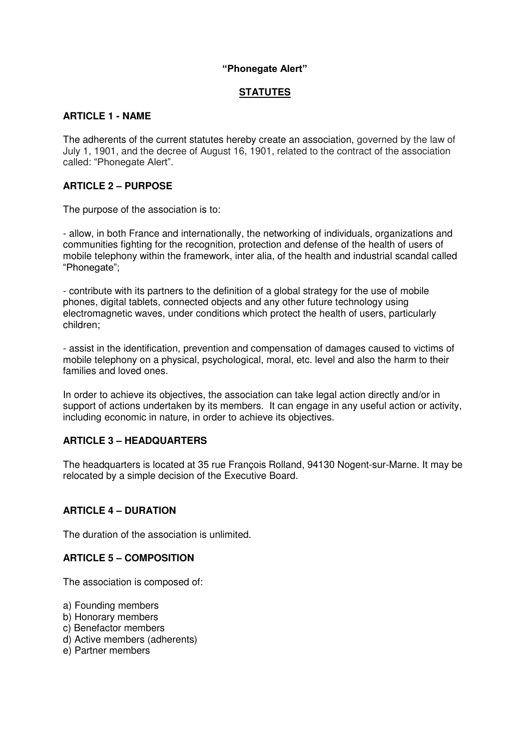#### **"Phonegate Alert"**

# **STATUTES**

#### **ARTICLE 1 - NAME**

The adherents of the current statutes hereby create an association, governed by the law of July 1, 1901, and the decree of August 16, 1901, related to the contract of the association called: "Phonegate Alert".

#### **ARTICLE 2 – PURPOSE**

The purpose of the association is to:

- allow, in both France and internationally, the networking of individuals, organizations and communities fighting for the recognition, protection and defense of the health of users of mobile telephony within the framework, inter alia, of the health and industrial scandal called "Phonegate";

- contribute with its partners to the definition of a global strategy for the use of mobile phones, digital tablets, connected objects and any other future technology using electromagnetic waves, under conditions which protect the health of users, particularly children;

- assist in the identification, prevention and compensation of damages caused to victims of mobile telephony on a physical, psychological, moral, etc. level and also the harm to their families and loved ones.

In order to achieve its objectives, the association can take legal action directly and/or in support of actions undertaken by its members. It can engage in any useful action or activity, including economic in nature, in order to achieve its objectives.

#### **ARTICLE 3 – HEADQUARTERS**

The headquarters is located at 35 rue François Rolland, 94130 Nogent-sur-Marne. It may be relocated by a simple decision of the Executive Board.

#### **ARTICLE 4 – DURATION**

The duration of the association is unlimited.

#### **ARTICLE 5 – COMPOSITION**

The association is composed of:

- a) Founding members
- b) Honorary members
- c) Benefactor members
- d) Active members (adherents)
- e) Partner members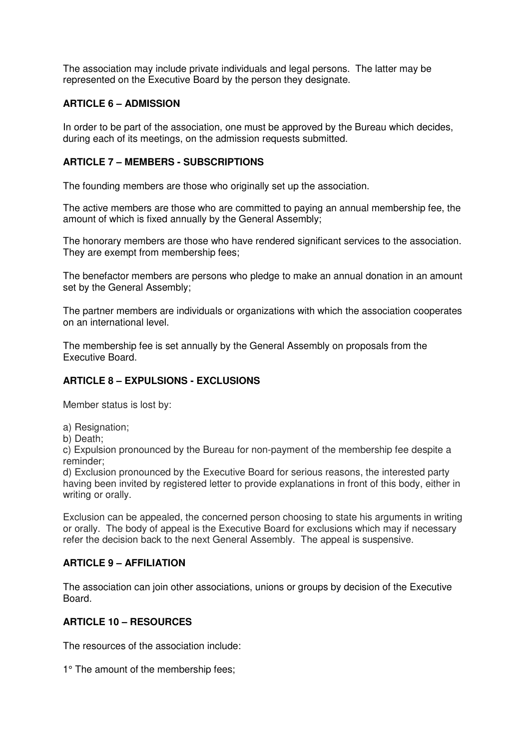The association may include private individuals and legal persons. The latter may be represented on the Executive Board by the person they designate.

## **ARTICLE 6 – ADMISSION**

In order to be part of the association, one must be approved by the Bureau which decides, during each of its meetings, on the admission requests submitted.

#### **ARTICLE 7 – MEMBERS - SUBSCRIPTIONS**

The founding members are those who originally set up the association.

The active members are those who are committed to paying an annual membership fee, the amount of which is fixed annually by the General Assembly;

The honorary members are those who have rendered significant services to the association. They are exempt from membership fees;

The benefactor members are persons who pledge to make an annual donation in an amount set by the General Assembly;

The partner members are individuals or organizations with which the association cooperates on an international level.

The membership fee is set annually by the General Assembly on proposals from the Executive Board.

# **ARTICLE 8 – EXPULSIONS - EXCLUSIONS**

Member status is lost by:

a) Resignation;

b) Death;

c) Expulsion pronounced by the Bureau for non-payment of the membership fee despite a reminder;

d) Exclusion pronounced by the Executive Board for serious reasons, the interested party having been invited by registered letter to provide explanations in front of this body, either in writing or orally.

Exclusion can be appealed, the concerned person choosing to state his arguments in writing or orally. The body of appeal is the Executive Board for exclusions which may if necessary refer the decision back to the next General Assembly. The appeal is suspensive.

#### **ARTICLE 9 – AFFILIATION**

The association can join other associations, unions or groups by decision of the Executive Board.

#### **ARTICLE 10 – RESOURCES**

The resources of the association include:

1° The amount of the membership fees;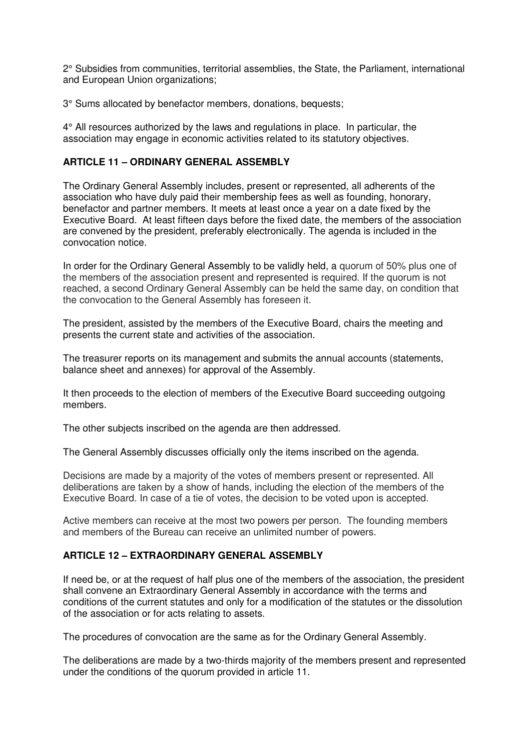2° Subsidies from communities, territorial assemblies, the State, the Parliament, international and European Union organizations;

3° Sums allocated by benefactor members, donations, bequests;

4° All resources authorized by the laws and regulations in place. In particular, the association may engage in economic activities related to its statutory objectives.

#### **ARTICLE 11 – ORDINARY GENERAL ASSEMBLY**

The Ordinary General Assembly includes, present or represented, all adherents of the association who have duly paid their membership fees as well as founding, honorary, benefactor and partner members. It meets at least once a year on a date fixed by the Executive Board. At least fifteen days before the fixed date, the members of the association are convened by the president, preferably electronically. The agenda is included in the convocation notice.

In order for the Ordinary General Assembly to be validly held, a quorum of 50% plus one of the members of the association present and represented is required. If the quorum is not reached, a second Ordinary General Assembly can be held the same day, on condition that the convocation to the General Assembly has foreseen it.

The president, assisted by the members of the Executive Board, chairs the meeting and presents the current state and activities of the association.

The treasurer reports on its management and submits the annual accounts (statements, balance sheet and annexes) for approval of the Assembly.

It then proceeds to the election of members of the Executive Board succeeding outgoing members.

The other subjects inscribed on the agenda are then addressed.

The General Assembly discusses officially only the items inscribed on the agenda.

Decisions are made by a majority of the votes of members present or represented. All deliberations are taken by a show of hands, including the election of the members of the Executive Board. In case of a tie of votes, the decision to be voted upon is accepted.

Active members can receive at the most two powers per person. The founding members and members of the Bureau can receive an unlimited number of powers.

# **ARTICLE 12 – EXTRAORDINARY GENERAL ASSEMBLY**

If need be, or at the request of half plus one of the members of the association, the president shall convene an Extraordinary General Assembly in accordance with the terms and conditions of the current statutes and only for a modification of the statutes or the dissolution of the association or for acts relating to assets.

The procedures of convocation are the same as for the Ordinary General Assembly.

The deliberations are made by a two-thirds majority of the members present and represented under the conditions of the quorum provided in article 11.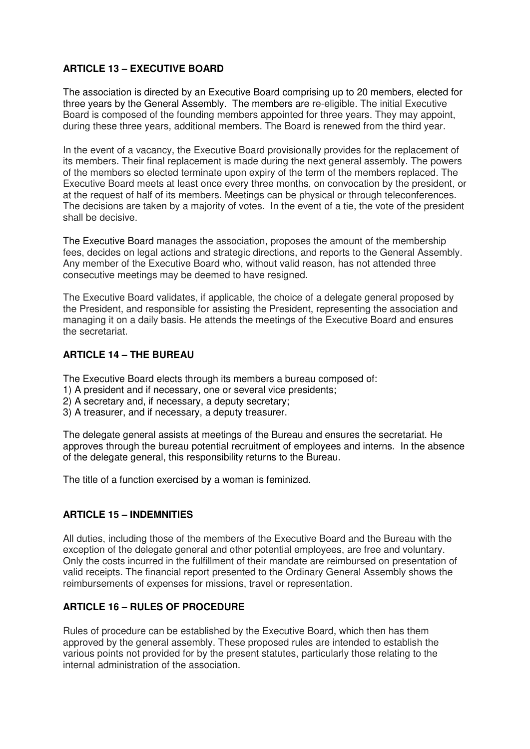# **ARTICLE 13 – EXECUTIVE BOARD**

The association is directed by an Executive Board comprising up to 20 members, elected for three years by the General Assembly. The members are re-eligible. The initial Executive Board is composed of the founding members appointed for three years. They may appoint, during these three years, additional members. The Board is renewed from the third year.

In the event of a vacancy, the Executive Board provisionally provides for the replacement of its members. Their final replacement is made during the next general assembly. The powers of the members so elected terminate upon expiry of the term of the members replaced. The Executive Board meets at least once every three months, on convocation by the president, or at the request of half of its members. Meetings can be physical or through teleconferences. The decisions are taken by a majority of votes. In the event of a tie, the vote of the president shall be decisive.

The Executive Board manages the association, proposes the amount of the membership fees, decides on legal actions and strategic directions, and reports to the General Assembly. Any member of the Executive Board who, without valid reason, has not attended three consecutive meetings may be deemed to have resigned.

The Executive Board validates, if applicable, the choice of a delegate general proposed by the President, and responsible for assisting the President, representing the association and managing it on a daily basis. He attends the meetings of the Executive Board and ensures the secretariat.

### **ARTICLE 14 – THE BUREAU**

The Executive Board elects through its members a bureau composed of:

- 1) A president and if necessary, one or several vice presidents;
- 2) A secretary and, if necessary, a deputy secretary;
- 3) A treasurer, and if necessary, a deputy treasurer.

The delegate general assists at meetings of the Bureau and ensures the secretariat. He approves through the bureau potential recruitment of employees and interns. In the absence of the delegate general, this responsibility returns to the Bureau.

The title of a function exercised by a woman is feminized.

#### **ARTICLE 15 – INDEMNITIES**

All duties, including those of the members of the Executive Board and the Bureau with the exception of the delegate general and other potential employees, are free and voluntary. Only the costs incurred in the fulfillment of their mandate are reimbursed on presentation of valid receipts. The financial report presented to the Ordinary General Assembly shows the reimbursements of expenses for missions, travel or representation.

#### **ARTICLE 16 – RULES OF PROCEDURE**

Rules of procedure can be established by the Executive Board, which then has them approved by the general assembly. These proposed rules are intended to establish the various points not provided for by the present statutes, particularly those relating to the internal administration of the association.